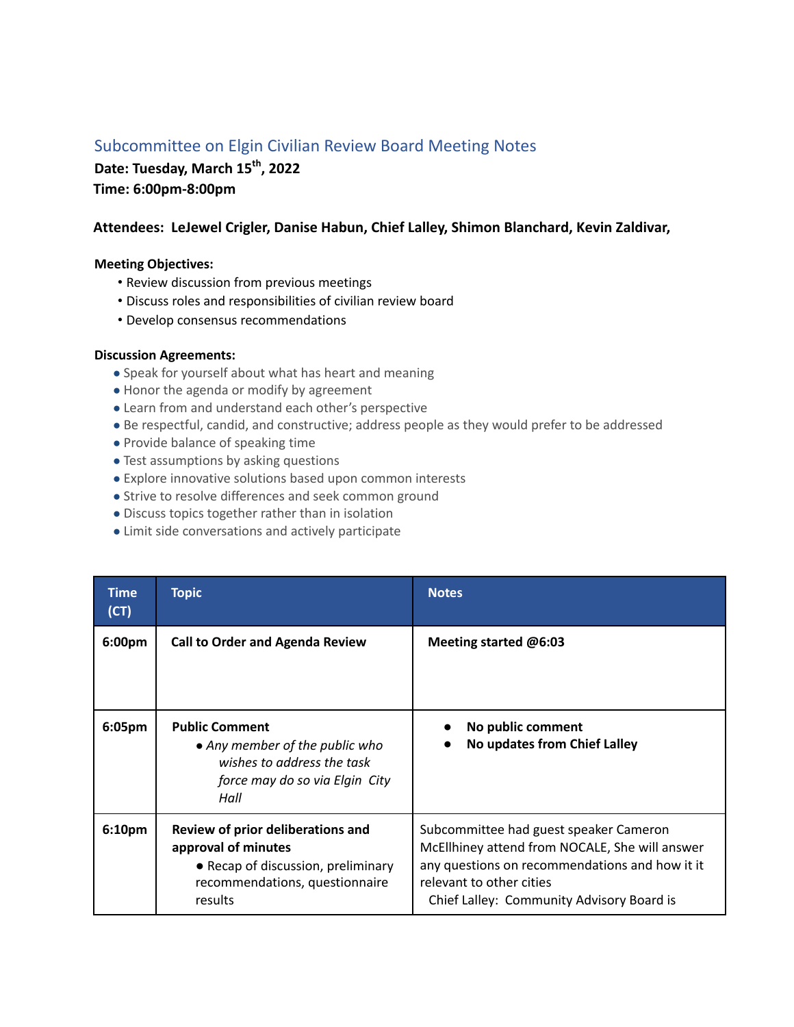## Subcommittee on Elgin Civilian Review Board Meeting Notes

**Date: Tuesday, March 15th, 2022**

**Time: 6:00pm-8:00pm**

## **Attendees: LeJewel Crigler, Danise Habun, Chief Lalley, Shimon Blanchard, Kevin Zaldivar,**

## **Meeting Objectives:**

- Review discussion from previous meetings
- Discuss roles and responsibilities of civilian review board
- Develop consensus recommendations

## **Discussion Agreements:**

- Speak for yourself about what has heart and meaning
- Honor the agenda or modify by agreement
- Learn from and understand each other's perspective
- Be respectful, candid, and constructive; address people as they would prefer to be addressed
- Provide balance of speaking time
- Test assumptions by asking questions
- Explore innovative solutions based upon common interests
- Strive to resolve differences and seek common ground
- Discuss topics together rather than in isolation
- Limit side conversations and actively participate

| Time<br>(CT) | <b>Topic</b>                                                                                                                                | <b>Notes</b>                                                                                                                                                                                                        |
|--------------|---------------------------------------------------------------------------------------------------------------------------------------------|---------------------------------------------------------------------------------------------------------------------------------------------------------------------------------------------------------------------|
| 6:00pm       | <b>Call to Order and Agenda Review</b>                                                                                                      | Meeting started @6:03                                                                                                                                                                                               |
| 6:05pm       | <b>Public Comment</b><br>• Any member of the public who<br>wishes to address the task<br>force may do so via Elgin City<br>Hall             | No public comment<br>No updates from Chief Lalley                                                                                                                                                                   |
| 6:10pm       | Review of prior deliberations and<br>approval of minutes<br>• Recap of discussion, preliminary<br>recommendations, questionnaire<br>results | Subcommittee had guest speaker Cameron<br>McEllhiney attend from NOCALE, She will answer<br>any questions on recommendations and how it it<br>relevant to other cities<br>Chief Lalley: Community Advisory Board is |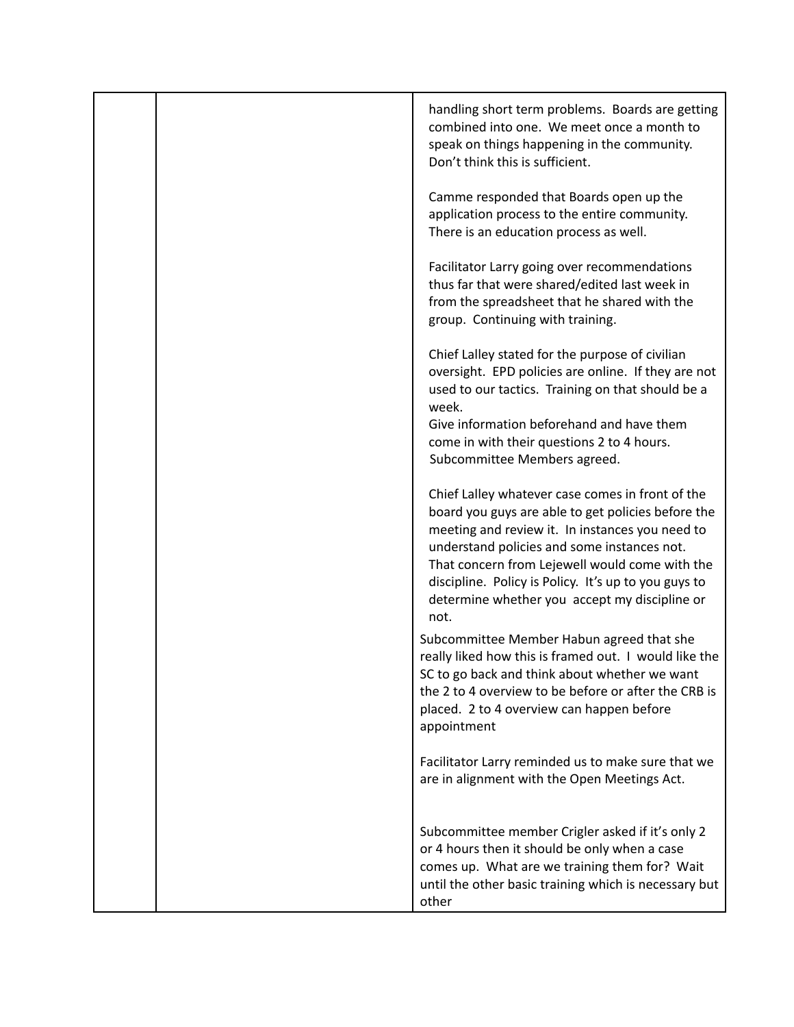|  | handling short term problems. Boards are getting<br>combined into one. We meet once a month to<br>speak on things happening in the community.<br>Don't think this is sufficient.                                                                                                                                                                                            |
|--|-----------------------------------------------------------------------------------------------------------------------------------------------------------------------------------------------------------------------------------------------------------------------------------------------------------------------------------------------------------------------------|
|  | Camme responded that Boards open up the<br>application process to the entire community.<br>There is an education process as well.                                                                                                                                                                                                                                           |
|  | Facilitator Larry going over recommendations<br>thus far that were shared/edited last week in<br>from the spreadsheet that he shared with the<br>group. Continuing with training.                                                                                                                                                                                           |
|  | Chief Lalley stated for the purpose of civilian<br>oversight. EPD policies are online. If they are not<br>used to our tactics. Training on that should be a<br>week.                                                                                                                                                                                                        |
|  | Give information beforehand and have them<br>come in with their questions 2 to 4 hours.<br>Subcommittee Members agreed.                                                                                                                                                                                                                                                     |
|  | Chief Lalley whatever case comes in front of the<br>board you guys are able to get policies before the<br>meeting and review it. In instances you need to<br>understand policies and some instances not.<br>That concern from Lejewell would come with the<br>discipline. Policy is Policy. It's up to you guys to<br>determine whether you accept my discipline or<br>not. |
|  | Subcommittee Member Habun agreed that she<br>really liked how this is framed out. I would like the<br>SC to go back and think about whether we want<br>the 2 to 4 overview to be before or after the CRB is<br>placed. 2 to 4 overview can happen before<br>appointment                                                                                                     |
|  | Facilitator Larry reminded us to make sure that we<br>are in alignment with the Open Meetings Act.                                                                                                                                                                                                                                                                          |
|  | Subcommittee member Crigler asked if it's only 2<br>or 4 hours then it should be only when a case<br>comes up. What are we training them for? Wait<br>until the other basic training which is necessary but<br>other                                                                                                                                                        |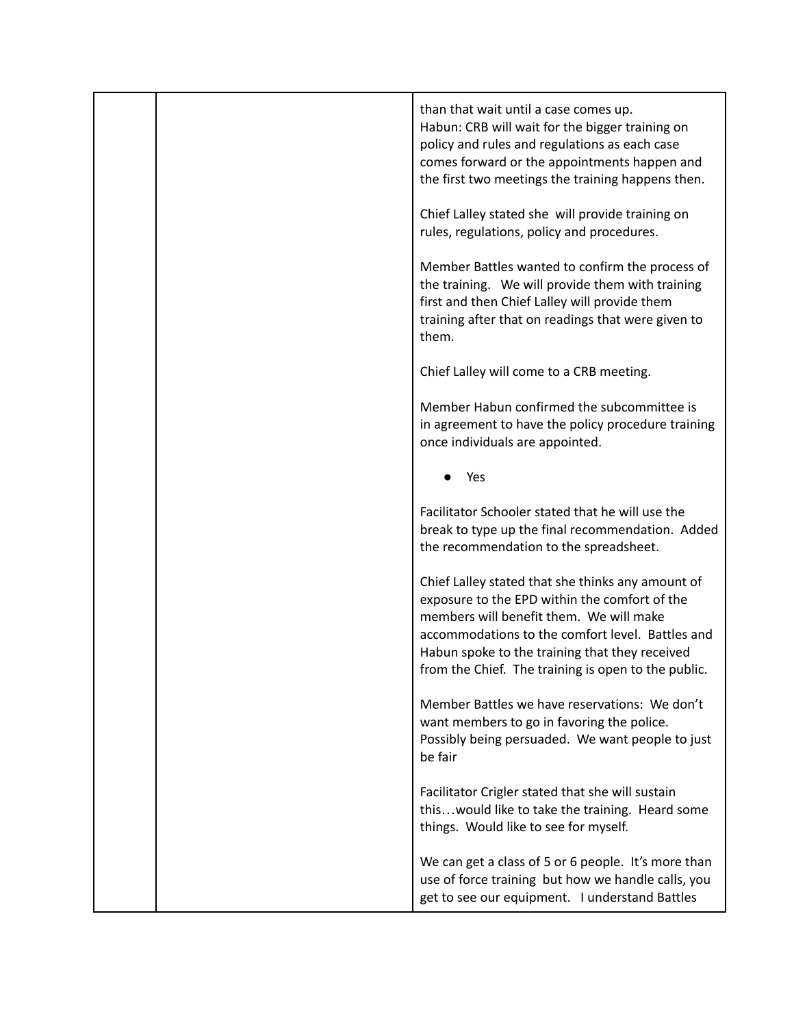|  | than that wait until a case comes up.<br>Habun: CRB will wait for the bigger training on<br>policy and rules and regulations as each case<br>comes forward or the appointments happen and<br>the first two meetings the training happens then.                                                             |
|--|------------------------------------------------------------------------------------------------------------------------------------------------------------------------------------------------------------------------------------------------------------------------------------------------------------|
|  | Chief Lalley stated she will provide training on<br>rules, regulations, policy and procedures.                                                                                                                                                                                                             |
|  | Member Battles wanted to confirm the process of<br>the training. We will provide them with training<br>first and then Chief Lalley will provide them<br>training after that on readings that were given to<br>them.                                                                                        |
|  | Chief Lalley will come to a CRB meeting.                                                                                                                                                                                                                                                                   |
|  | Member Habun confirmed the subcommittee is<br>in agreement to have the policy procedure training<br>once individuals are appointed.                                                                                                                                                                        |
|  | Yes                                                                                                                                                                                                                                                                                                        |
|  | Facilitator Schooler stated that he will use the<br>break to type up the final recommendation. Added<br>the recommendation to the spreadsheet.                                                                                                                                                             |
|  | Chief Lalley stated that she thinks any amount of<br>exposure to the EPD within the comfort of the<br>members will benefit them. We will make<br>accommodations to the comfort level. Battles and<br>Habun spoke to the training that they received<br>from the Chief. The training is open to the public. |
|  | Member Battles we have reservations: We don't<br>want members to go in favoring the police.<br>Possibly being persuaded. We want people to just<br>be fair                                                                                                                                                 |
|  | Facilitator Crigler stated that she will sustain<br>thiswould like to take the training. Heard some<br>things. Would like to see for myself.                                                                                                                                                               |
|  | We can get a class of 5 or 6 people. It's more than<br>use of force training but how we handle calls, you<br>get to see our equipment. I understand Battles                                                                                                                                                |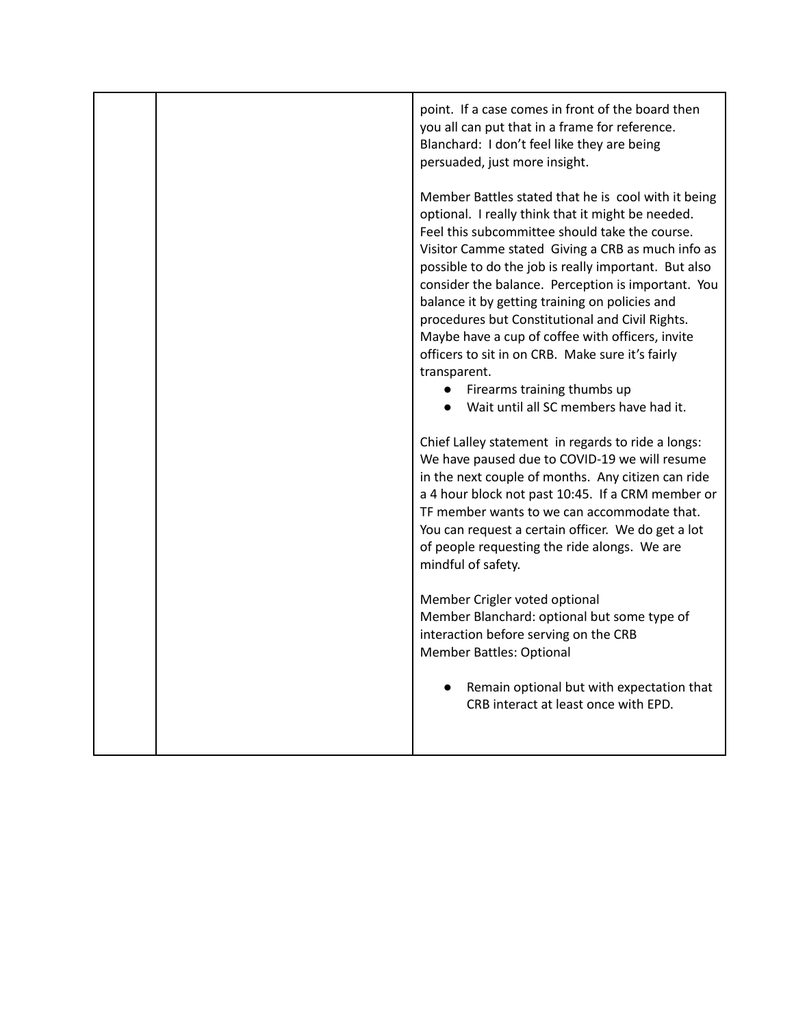|  | point. If a case comes in front of the board then<br>you all can put that in a frame for reference.<br>Blanchard: I don't feel like they are being<br>persuaded, just more insight.                                                                                                                                                                                                                                                                                                                                                                                                                                                              |
|--|--------------------------------------------------------------------------------------------------------------------------------------------------------------------------------------------------------------------------------------------------------------------------------------------------------------------------------------------------------------------------------------------------------------------------------------------------------------------------------------------------------------------------------------------------------------------------------------------------------------------------------------------------|
|  | Member Battles stated that he is cool with it being<br>optional. I really think that it might be needed.<br>Feel this subcommittee should take the course.<br>Visitor Camme stated Giving a CRB as much info as<br>possible to do the job is really important. But also<br>consider the balance. Perception is important. You<br>balance it by getting training on policies and<br>procedures but Constitutional and Civil Rights.<br>Maybe have a cup of coffee with officers, invite<br>officers to sit in on CRB. Make sure it's fairly<br>transparent.<br>Firearms training thumbs up<br>$\bullet$<br>Wait until all SC members have had it. |
|  | Chief Lalley statement in regards to ride a longs:<br>We have paused due to COVID-19 we will resume<br>in the next couple of months. Any citizen can ride<br>a 4 hour block not past 10:45. If a CRM member or<br>TF member wants to we can accommodate that.<br>You can request a certain officer. We do get a lot<br>of people requesting the ride alongs. We are<br>mindful of safety.                                                                                                                                                                                                                                                        |
|  | Member Crigler voted optional<br>Member Blanchard: optional but some type of<br>interaction before serving on the CRB<br><b>Member Battles: Optional</b>                                                                                                                                                                                                                                                                                                                                                                                                                                                                                         |
|  | Remain optional but with expectation that<br>CRB interact at least once with EPD.                                                                                                                                                                                                                                                                                                                                                                                                                                                                                                                                                                |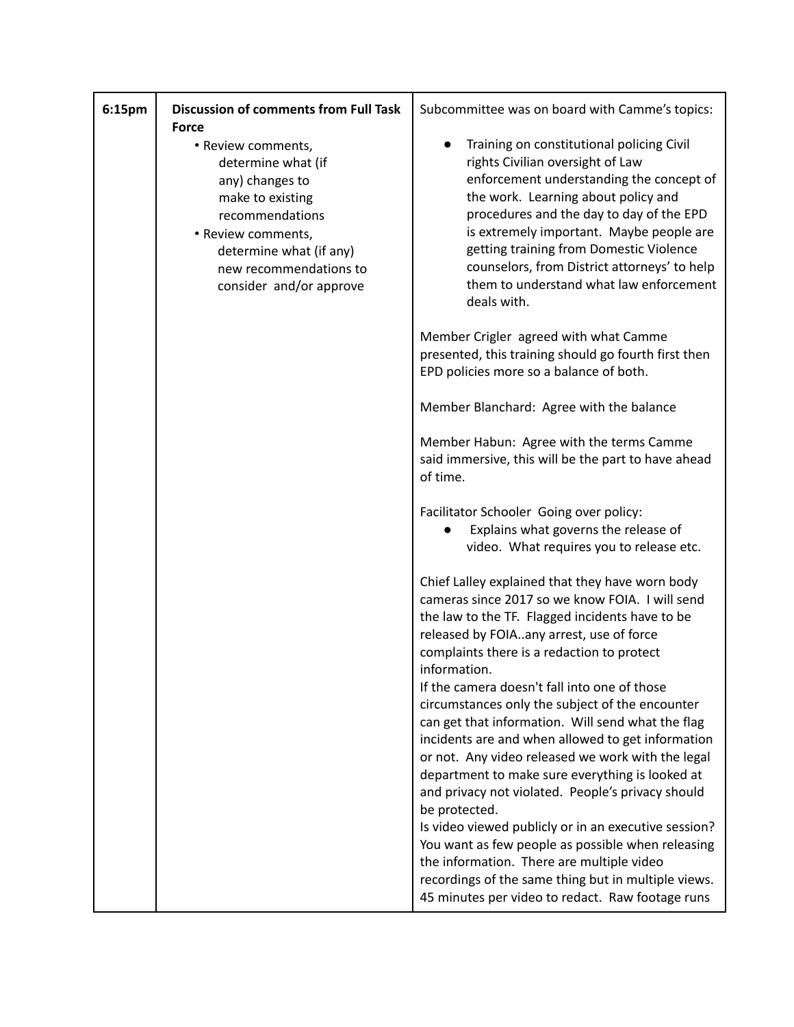| 6:15pm | <b>Discussion of comments from Full Task</b><br><b>Force</b>                                                                                                                                             | Subcommittee was on board with Camme's topics:                                                                                                                                                                                                                                                                                                                                                                |
|--------|----------------------------------------------------------------------------------------------------------------------------------------------------------------------------------------------------------|---------------------------------------------------------------------------------------------------------------------------------------------------------------------------------------------------------------------------------------------------------------------------------------------------------------------------------------------------------------------------------------------------------------|
|        | • Review comments,<br>determine what (if<br>any) changes to<br>make to existing<br>recommendations<br>• Review comments,<br>determine what (if any)<br>new recommendations to<br>consider and/or approve | Training on constitutional policing Civil<br>rights Civilian oversight of Law<br>enforcement understanding the concept of<br>the work. Learning about policy and<br>procedures and the day to day of the EPD<br>is extremely important. Maybe people are<br>getting training from Domestic Violence<br>counselors, from District attorneys' to help<br>them to understand what law enforcement<br>deals with. |
|        |                                                                                                                                                                                                          | Member Crigler agreed with what Camme<br>presented, this training should go fourth first then<br>EPD policies more so a balance of both.                                                                                                                                                                                                                                                                      |
|        |                                                                                                                                                                                                          | Member Blanchard: Agree with the balance                                                                                                                                                                                                                                                                                                                                                                      |
|        |                                                                                                                                                                                                          | Member Habun: Agree with the terms Camme<br>said immersive, this will be the part to have ahead<br>of time.                                                                                                                                                                                                                                                                                                   |
|        |                                                                                                                                                                                                          | Facilitator Schooler Going over policy:<br>Explains what governs the release of<br>video. What requires you to release etc.                                                                                                                                                                                                                                                                                   |
|        |                                                                                                                                                                                                          | Chief Lalley explained that they have worn body<br>cameras since 2017 so we know FOIA. I will send<br>the law to the TF. Flagged incidents have to be<br>released by FOIAany arrest, use of force<br>complaints there is a redaction to protect<br>information.                                                                                                                                               |
|        |                                                                                                                                                                                                          | If the camera doesn't fall into one of those<br>circumstances only the subject of the encounter<br>can get that information. Will send what the flag<br>incidents are and when allowed to get information<br>or not. Any video released we work with the legal<br>department to make sure everything is looked at<br>and privacy not violated. People's privacy should                                        |
|        |                                                                                                                                                                                                          | be protected.<br>Is video viewed publicly or in an executive session?<br>You want as few people as possible when releasing<br>the information. There are multiple video<br>recordings of the same thing but in multiple views.<br>45 minutes per video to redact. Raw footage runs                                                                                                                            |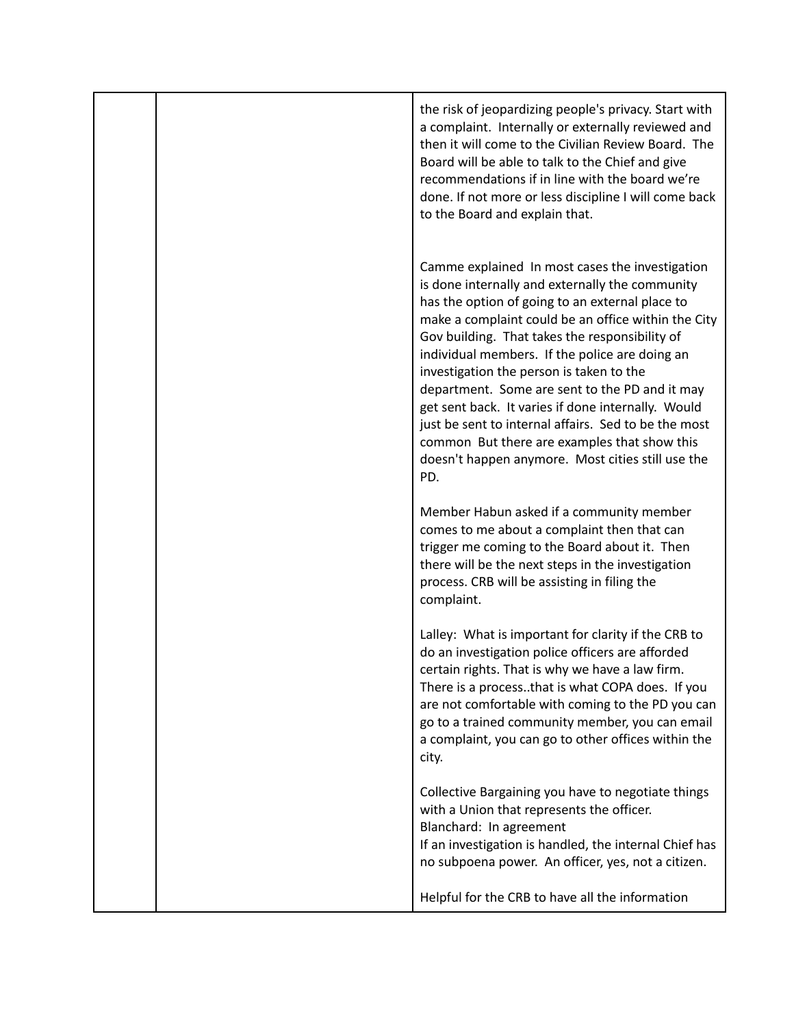|  | the risk of jeopardizing people's privacy. Start with<br>a complaint. Internally or externally reviewed and<br>then it will come to the Civilian Review Board. The<br>Board will be able to talk to the Chief and give<br>recommendations if in line with the board we're<br>done. If not more or less discipline I will come back<br>to the Board and explain that.                                                                                                                                                                                                                                                                     |
|--|------------------------------------------------------------------------------------------------------------------------------------------------------------------------------------------------------------------------------------------------------------------------------------------------------------------------------------------------------------------------------------------------------------------------------------------------------------------------------------------------------------------------------------------------------------------------------------------------------------------------------------------|
|  | Camme explained In most cases the investigation<br>is done internally and externally the community<br>has the option of going to an external place to<br>make a complaint could be an office within the City<br>Gov building. That takes the responsibility of<br>individual members. If the police are doing an<br>investigation the person is taken to the<br>department. Some are sent to the PD and it may<br>get sent back. It varies if done internally. Would<br>just be sent to internal affairs. Sed to be the most<br>common But there are examples that show this<br>doesn't happen anymore. Most cities still use the<br>PD. |
|  | Member Habun asked if a community member<br>comes to me about a complaint then that can<br>trigger me coming to the Board about it. Then<br>there will be the next steps in the investigation<br>process. CRB will be assisting in filing the<br>complaint.                                                                                                                                                                                                                                                                                                                                                                              |
|  | Lalley: What is important for clarity if the CRB to<br>do an investigation police officers are afforded<br>certain rights. That is why we have a law firm<br>There is a processthat is what COPA does. If you<br>are not comfortable with coming to the PD you can<br>go to a trained community member, you can email<br>a complaint, you can go to other offices within the<br>city.                                                                                                                                                                                                                                                    |
|  | Collective Bargaining you have to negotiate things<br>with a Union that represents the officer.<br>Blanchard: In agreement<br>If an investigation is handled, the internal Chief has<br>no subpoena power. An officer, yes, not a citizen.                                                                                                                                                                                                                                                                                                                                                                                               |
|  | Helpful for the CRB to have all the information                                                                                                                                                                                                                                                                                                                                                                                                                                                                                                                                                                                          |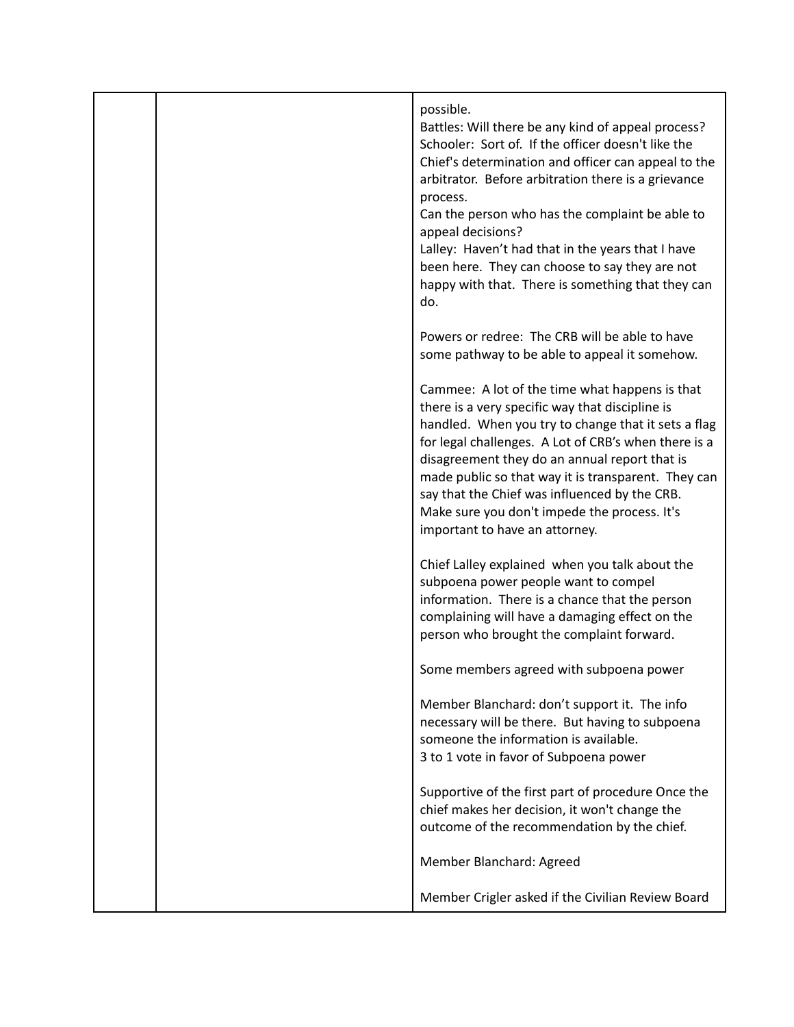|  | possible.<br>Battles: Will there be any kind of appeal process?<br>Schooler: Sort of. If the officer doesn't like the<br>Chief's determination and officer can appeal to the<br>arbitrator. Before arbitration there is a grievance<br>process.<br>Can the person who has the complaint be able to<br>appeal decisions?<br>Lalley: Haven't had that in the years that I have<br>been here. They can choose to say they are not<br>happy with that. There is something that they can<br>do. |
|--|--------------------------------------------------------------------------------------------------------------------------------------------------------------------------------------------------------------------------------------------------------------------------------------------------------------------------------------------------------------------------------------------------------------------------------------------------------------------------------------------|
|  | Powers or redree: The CRB will be able to have<br>some pathway to be able to appeal it somehow.                                                                                                                                                                                                                                                                                                                                                                                            |
|  | Cammee: A lot of the time what happens is that<br>there is a very specific way that discipline is<br>handled. When you try to change that it sets a flag<br>for legal challenges. A Lot of CRB's when there is a<br>disagreement they do an annual report that is<br>made public so that way it is transparent. They can<br>say that the Chief was influenced by the CRB.<br>Make sure you don't impede the process. It's<br>important to have an attorney.                                |
|  | Chief Lalley explained when you talk about the<br>subpoena power people want to compel<br>information. There is a chance that the person<br>complaining will have a damaging effect on the<br>person who brought the complaint forward.                                                                                                                                                                                                                                                    |
|  | Some members agreed with subpoena power                                                                                                                                                                                                                                                                                                                                                                                                                                                    |
|  | Member Blanchard: don't support it. The info<br>necessary will be there. But having to subpoena<br>someone the information is available.<br>3 to 1 vote in favor of Subpoena power                                                                                                                                                                                                                                                                                                         |
|  | Supportive of the first part of procedure Once the<br>chief makes her decision, it won't change the<br>outcome of the recommendation by the chief.                                                                                                                                                                                                                                                                                                                                         |
|  | Member Blanchard: Agreed                                                                                                                                                                                                                                                                                                                                                                                                                                                                   |
|  | Member Crigler asked if the Civilian Review Board                                                                                                                                                                                                                                                                                                                                                                                                                                          |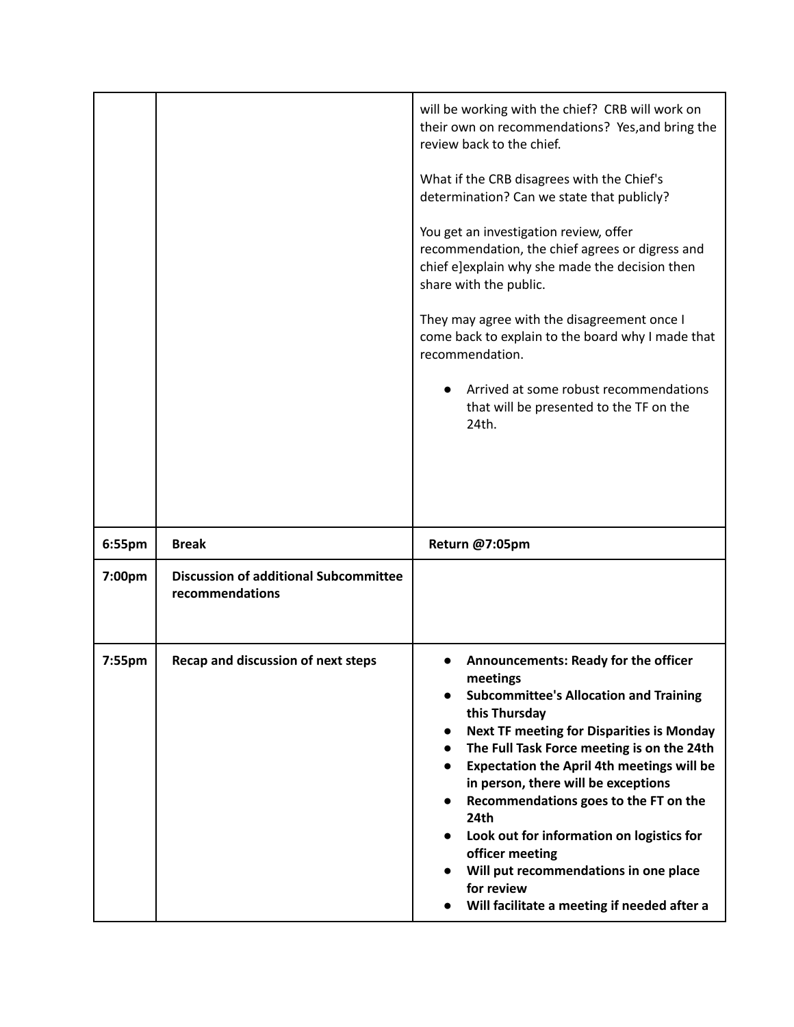|        |                                                                 | will be working with the chief? CRB will work on<br>their own on recommendations? Yes, and bring the<br>review back to the chief.<br>What if the CRB disagrees with the Chief's<br>determination? Can we state that publicly?<br>You get an investigation review, offer<br>recommendation, the chief agrees or digress and<br>chief e]explain why she made the decision then<br>share with the public.<br>They may agree with the disagreement once I<br>come back to explain to the board why I made that<br>recommendation.<br>Arrived at some robust recommendations<br>that will be presented to the TF on the<br>24th. |
|--------|-----------------------------------------------------------------|-----------------------------------------------------------------------------------------------------------------------------------------------------------------------------------------------------------------------------------------------------------------------------------------------------------------------------------------------------------------------------------------------------------------------------------------------------------------------------------------------------------------------------------------------------------------------------------------------------------------------------|
| 6:55pm | <b>Break</b>                                                    | Return @7:05pm                                                                                                                                                                                                                                                                                                                                                                                                                                                                                                                                                                                                              |
| 7:00pm | <b>Discussion of additional Subcommittee</b><br>recommendations |                                                                                                                                                                                                                                                                                                                                                                                                                                                                                                                                                                                                                             |
| 7:55pm | Recap and discussion of next steps                              | Announcements: Ready for the officer<br>meetings<br><b>Subcommittee's Allocation and Training</b><br>this Thursday<br><b>Next TF meeting for Disparities is Monday</b><br>$\bullet$<br>The Full Task Force meeting is on the 24th<br><b>Expectation the April 4th meetings will be</b><br>in person, there will be exceptions<br>Recommendations goes to the FT on the<br>24th<br>Look out for information on logistics for<br>officer meeting<br>Will put recommendations in one place<br>for review<br>Will facilitate a meeting if needed after a                                                                        |